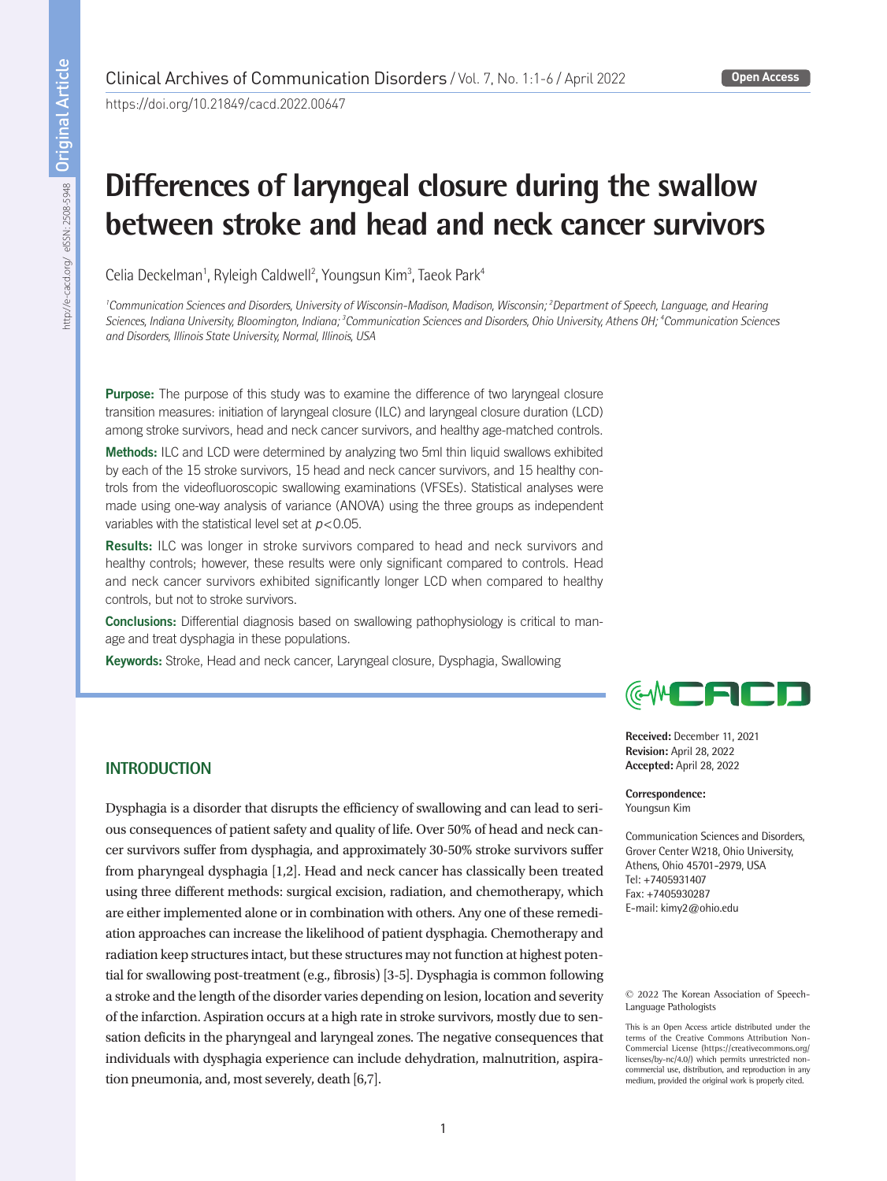https://doi.org/10.21849/cacd.2022.00647

# **Differences of laryngeal closure during the swallow between stroke and head and neck cancer survivors**

Celia Deckelman<sup>1</sup>, Ryleigh Caldwell<sup>2</sup>, Youngsun Kim<sup>3</sup>, Taeok Park<sup>4</sup>

*1 Communication Sciences and Disorders, University of Wisconsin-Madison, Madison, Wisconsin; 2 Department of Speech, Language, and Hearing Sciences, Indiana University, Bloomington, Indiana; 3 Communication Sciences and Disorders, Ohio University, Athens OH; 4 Communication Sciences and Disorders, Illinois State University, Normal, Illinois, USA*

Purpose: The purpose of this study was to examine the difference of two laryngeal closure transition measures: initiation of laryngeal closure (ILC) and laryngeal closure duration (LCD) among stroke survivors, head and neck cancer survivors, and healthy age-matched controls.

Methods: ILC and LCD were determined by analyzing two 5ml thin liquid swallows exhibited by each of the 15 stroke survivors, 15 head and neck cancer survivors, and 15 healthy controls from the videofluoroscopic swallowing examinations (VFSEs). Statistical analyses were made using one-way analysis of variance (ANOVA) using the three groups as independent variables with the statistical level set at *p*<0.05.

Results: ILC was longer in stroke survivors compared to head and neck survivors and healthy controls; however, these results were only significant compared to controls. Head and neck cancer survivors exhibited significantly longer LCD when compared to healthy controls, but not to stroke survivors.

Conclusions: Differential diagnosis based on swallowing pathophysiology is critical to manage and treat dysphagia in these populations.

Keywords: Stroke, Head and neck cancer, Laryngeal closure, Dysphagia, Swallowing



**Received:** December 11, 2021 **Revision:** April 28, 2022 **Accepted:** April 28, 2022

**Correspondence:** Youngsun Kim

Communication Sciences and Disorders, Grover Center W218, Ohio University, Athens, Ohio 45701-2979, USA Tel: +7405931407 Fax: +7405930287 E-mail: kimy2@ohio.edu

© 2022 The Korean Association of Speech-Language Pathologists

This is an Open Access article distributed under the terms of the Creative Commons Attribution Non-Commercial License (https://creativecommons.org/ licenses/by-nc/4.0/) which permits unrestricted noncommercial use, distribution, and reproduction in any medium, provided the original work is properly cited.

# **INTRODUCTION**

Dysphagia is a disorder that disrupts the efficiency of swallowing and can lead to serious consequences of patient safety and quality of life. Over 50% of head and neck cancer survivors suffer from dysphagia, and approximately 30-50% stroke survivors suffer from pharyngeal dysphagia [1,2]. Head and neck cancer has classically been treated using three different methods: surgical excision, radiation, and chemotherapy, which are either implemented alone or in combination with others. Any one of these remediation approaches can increase the likelihood of patient dysphagia. Chemotherapy and radiation keep structures intact, but these structures may not function at highest potential for swallowing post-treatment (e.g., fibrosis) [3-5]. Dysphagia is common following a stroke and the length of the disorder varies depending on lesion, location and severity of the infarction. Aspiration occurs at a high rate in stroke survivors, mostly due to sensation deficits in the pharyngeal and laryngeal zones. The negative consequences that individuals with dysphagia experience can include dehydration, malnutrition, aspiration pneumonia, and, most severely, death [6,7].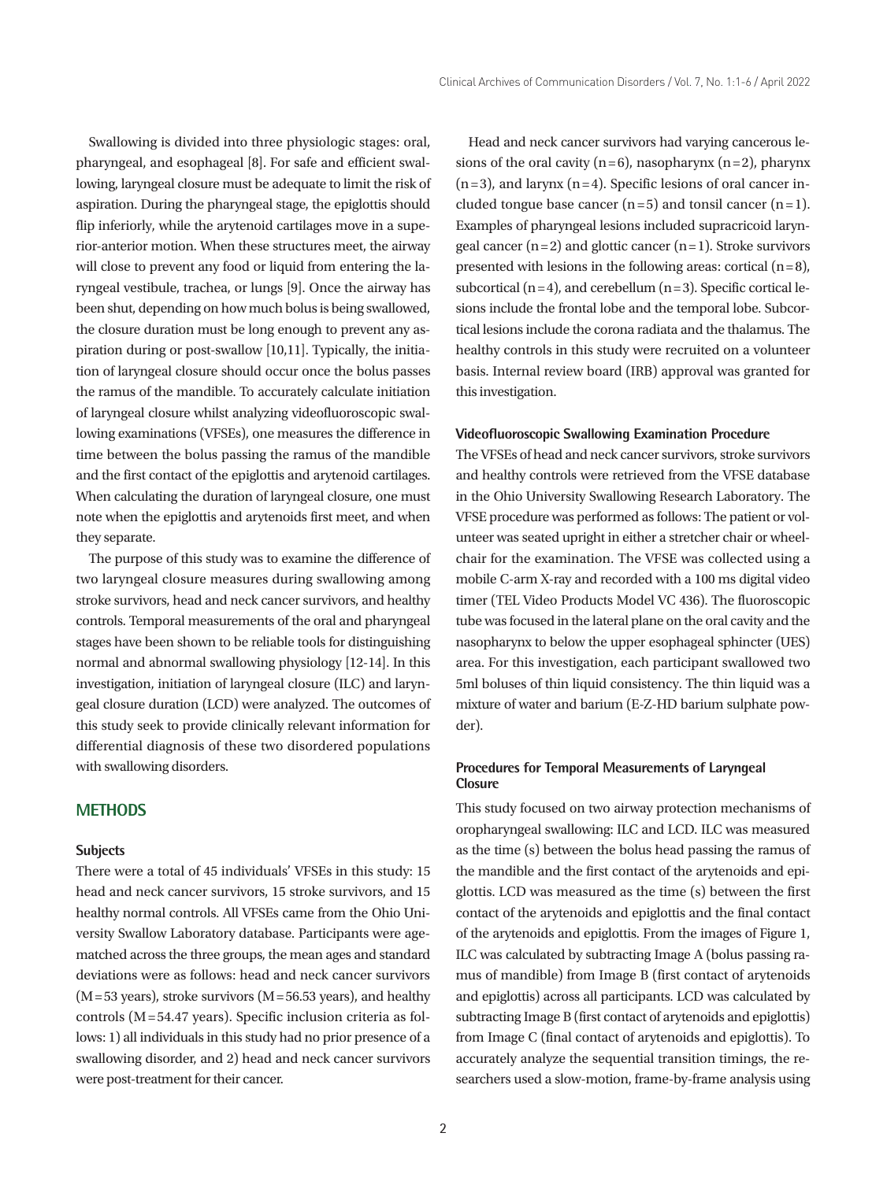Swallowing is divided into three physiologic stages: oral, pharyngeal, and esophageal [8]. For safe and efficient swallowing, laryngeal closure must be adequate to limit the risk of aspiration. During the pharyngeal stage, the epiglottis should flip inferiorly, while the arytenoid cartilages move in a superior-anterior motion. When these structures meet, the airway will close to prevent any food or liquid from entering the laryngeal vestibule, trachea, or lungs [9]. Once the airway has been shut, depending on how much bolus is being swallowed, the closure duration must be long enough to prevent any aspiration during or post-swallow [10,11]. Typically, the initiation of laryngeal closure should occur once the bolus passes the ramus of the mandible. To accurately calculate initiation of laryngeal closure whilst analyzing videofluoroscopic swallowing examinations (VFSEs), one measures the difference in time between the bolus passing the ramus of the mandible and the first contact of the epiglottis and arytenoid cartilages. When calculating the duration of laryngeal closure, one must note when the epiglottis and arytenoids first meet, and when they separate.

The purpose of this study was to examine the difference of two laryngeal closure measures during swallowing among stroke survivors, head and neck cancer survivors, and healthy controls. Temporal measurements of the oral and pharyngeal stages have been shown to be reliable tools for distinguishing normal and abnormal swallowing physiology [12-14]. In this investigation, initiation of laryngeal closure (ILC) and laryngeal closure duration (LCD) were analyzed. The outcomes of this study seek to provide clinically relevant information for differential diagnosis of these two disordered populations with swallowing disorders.

## **METHODS**

#### **Subjects**

There were a total of 45 individuals' VFSEs in this study: 15 head and neck cancer survivors, 15 stroke survivors, and 15 healthy normal controls. All VFSEs came from the Ohio University Swallow Laboratory database. Participants were agematched across the three groups, the mean ages and standard deviations were as follows: head and neck cancer survivors  $(M = 53 \text{ years})$ , stroke survivors  $(M = 56.53 \text{ years})$ , and healthy controls (M =54.47 years). Specific inclusion criteria as follows: 1) all individuals in this study had no prior presence of a swallowing disorder, and 2) head and neck cancer survivors were post-treatment for their cancer.

Head and neck cancer survivors had varying cancerous lesions of the oral cavity  $(n=6)$ , nasopharynx  $(n=2)$ , pharynx  $(n=3)$ , and larynx  $(n=4)$ . Specific lesions of oral cancer included tongue base cancer  $(n=5)$  and tonsil cancer  $(n=1)$ . Examples of pharyngeal lesions included supracricoid laryngeal cancer  $(n=2)$  and glottic cancer  $(n=1)$ . Stroke survivors presented with lesions in the following areas: cortical  $(n=8)$ , subcortical  $(n=4)$ , and cerebellum  $(n=3)$ . Specific cortical lesions include the frontal lobe and the temporal lobe. Subcortical lesions include the corona radiata and the thalamus. The healthy controls in this study were recruited on a volunteer basis. Internal review board (IRB) approval was granted for this investigation.

#### **Videofluoroscopic Swallowing Examination Procedure**

The VFSEs of head and neck cancer survivors, stroke survivors and healthy controls were retrieved from the VFSE database in the Ohio University Swallowing Research Laboratory. The VFSE procedure was performed as follows: The patient or volunteer was seated upright in either a stretcher chair or wheelchair for the examination. The VFSE was collected using a mobile C-arm X-ray and recorded with a 100 ms digital video timer (TEL Video Products Model VC 436). The fluoroscopic tube was focused in the lateral plane on the oral cavity and the nasopharynx to below the upper esophageal sphincter (UES) area. For this investigation, each participant swallowed two 5ml boluses of thin liquid consistency. The thin liquid was a mixture of water and barium (E-Z-HD barium sulphate powder).

### **Procedures for Temporal Measurements of Laryngeal Closure**

This study focused on two airway protection mechanisms of oropharyngeal swallowing: ILC and LCD. ILC was measured as the time (s) between the bolus head passing the ramus of the mandible and the first contact of the arytenoids and epiglottis. LCD was measured as the time (s) between the first contact of the arytenoids and epiglottis and the final contact of the arytenoids and epiglottis. From the images of Figure 1, ILC was calculated by subtracting Image A (bolus passing ramus of mandible) from Image B (first contact of arytenoids and epiglottis) across all participants. LCD was calculated by subtracting Image B (first contact of arytenoids and epiglottis) from Image C (final contact of arytenoids and epiglottis). To accurately analyze the sequential transition timings, the researchers used a slow-motion, frame-by-frame analysis using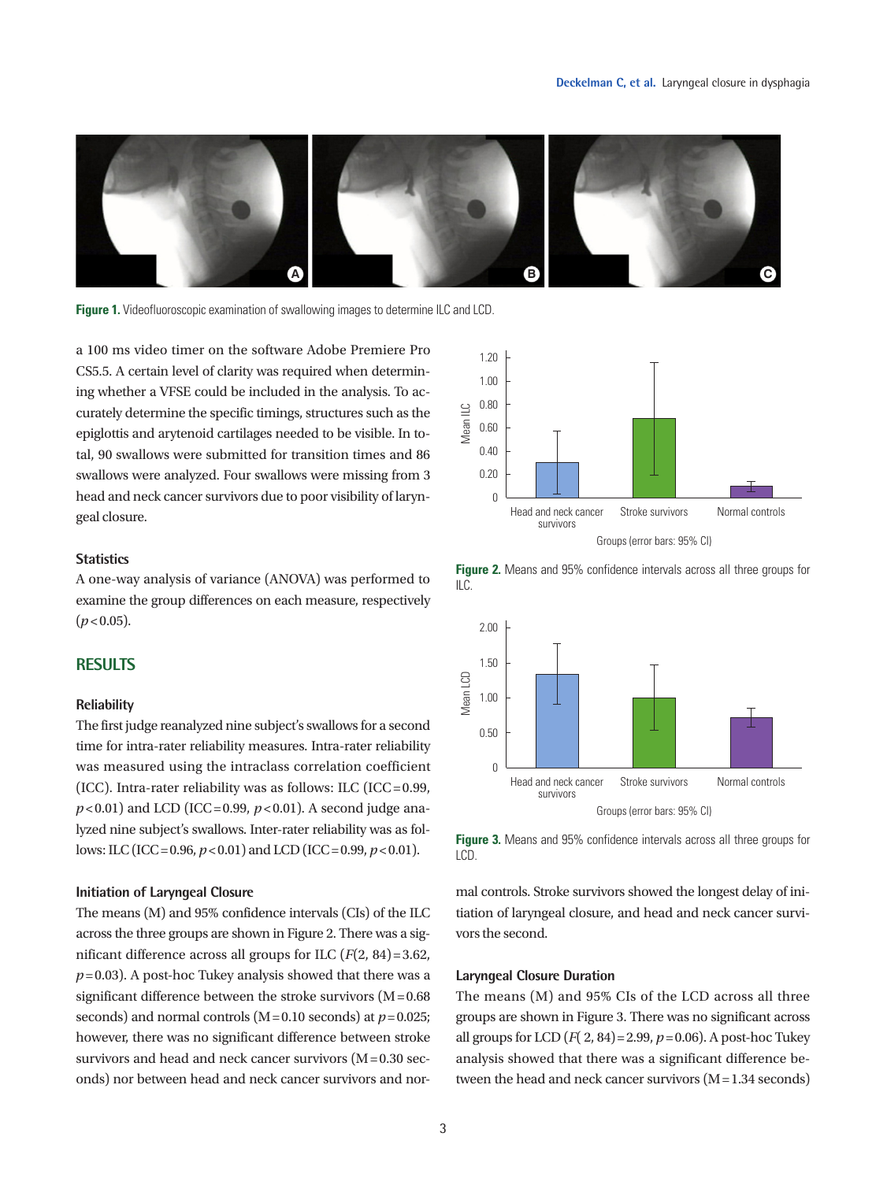

**Figure 1.** Videofluoroscopic examination of swallowing images to determine ILC and LCD.

a 100 ms video timer on the software Adobe Premiere Pro CS5.5. A certain level of clarity was required when determining whether a VFSE could be included in the analysis. To accurately determine the specific timings, structures such as the epiglottis and arytenoid cartilages needed to be visible. In total, 90 swallows were submitted for transition times and 86 swallows were analyzed. Four swallows were missing from 3 head and neck cancer survivors due to poor visibility of laryngeal closure.

### **Statistics**

A one-way analysis of variance (ANOVA) was performed to examine the group differences on each measure, respectively  $(p < 0.05)$ .

## **RESULTS**

#### **Reliability**

The first judge reanalyzed nine subject's swallows for a second time for intra-rater reliability measures. Intra-rater reliability was measured using the intraclass correlation coefficient (ICC). Intra-rater reliability was as follows: ILC (ICC =  $0.99$ ,  $p$  < 0.01) and LCD (ICC = 0.99,  $p$  < 0.01). A second judge analyzed nine subject's swallows. Inter-rater reliability was as follows: ILC (ICC = 0.96,  $p < 0.01$ ) and LCD (ICC = 0.99,  $p < 0.01$ ).

#### **Initiation of Laryngeal Closure**

The means (M) and 95% confidence intervals (CIs) of the ILC across the three groups are shown in Figure 2. There was a significant difference across all groups for ILC (*F*(2, 84) =3.62,  $p=0.03$ ). A post-hoc Tukey analysis showed that there was a significant difference between the stroke survivors  $(M = 0.68)$ seconds) and normal controls (M =0.10 seconds) at *p*=0.025; however, there was no significant difference between stroke survivors and head and neck cancer survivors  $(M=0.30$  seconds) nor between head and neck cancer survivors and nor-



**Figure 2.** Means and 95% confidence intervals across all three groups for  $II<sub>C</sub>$ 





mal controls. Stroke survivors showed the longest delay of initiation of laryngeal closure, and head and neck cancer survivors the second.

#### **Laryngeal Closure Duration**

The means (M) and 95% CIs of the LCD across all three groups are shown in Figure 3. There was no significant across all groups for LCD (*F*( 2, 84) = 2.99, *p*= 0.06). A post-hoc Tukey analysis showed that there was a significant difference between the head and neck cancer survivors  $(M = 1.34$  seconds)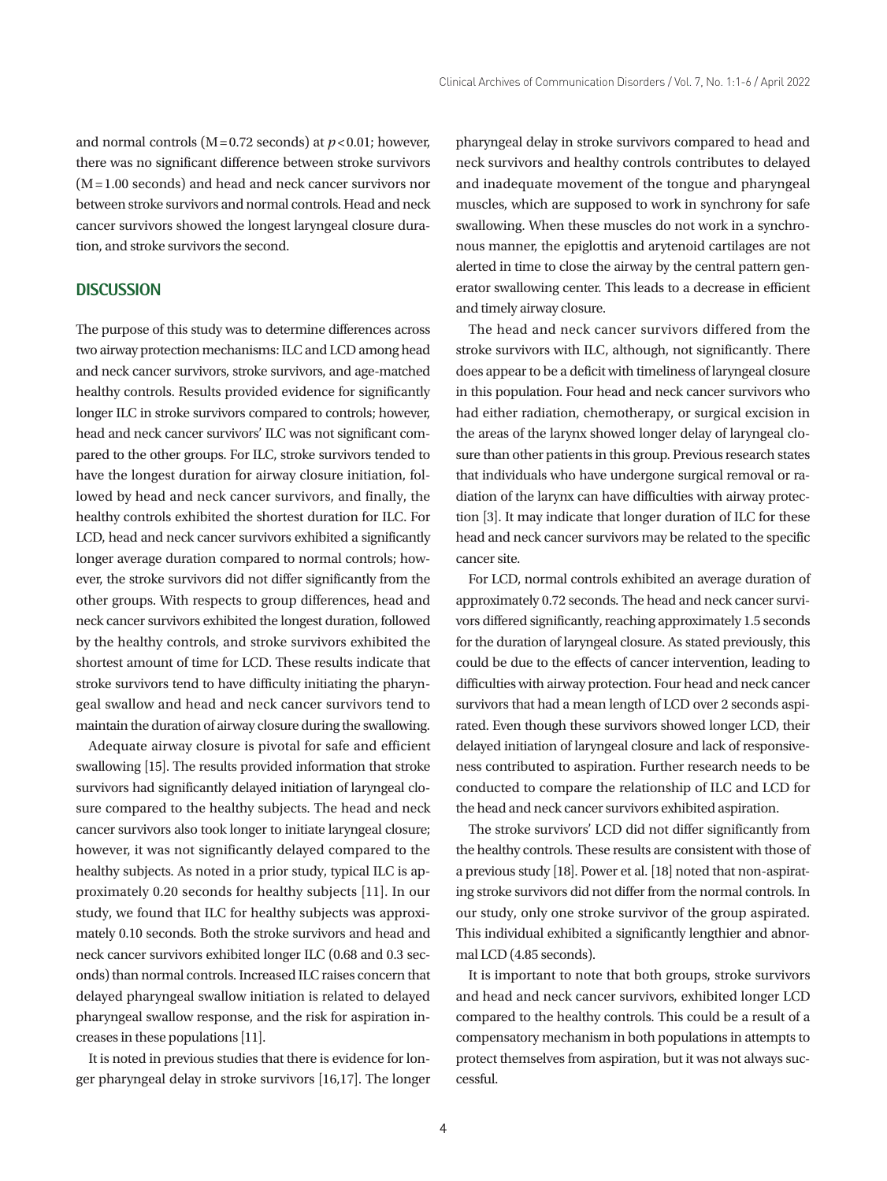and normal controls  $(M=0.72$  seconds) at  $p < 0.01$ ; however, there was no significant difference between stroke survivors  $(M=1.00$  seconds) and head and neck cancer survivors nor between stroke survivors and normal controls. Head and neck cancer survivors showed the longest laryngeal closure duration, and stroke survivors the second.

#### **DISCUSSION**

The purpose of this study was to determine differences across two airway protection mechanisms: ILC and LCD among head and neck cancer survivors, stroke survivors, and age-matched healthy controls. Results provided evidence for significantly longer ILC in stroke survivors compared to controls; however, head and neck cancer survivors' ILC was not significant compared to the other groups. For ILC, stroke survivors tended to have the longest duration for airway closure initiation, followed by head and neck cancer survivors, and finally, the healthy controls exhibited the shortest duration for ILC. For LCD, head and neck cancer survivors exhibited a significantly longer average duration compared to normal controls; however, the stroke survivors did not differ significantly from the other groups. With respects to group differences, head and neck cancer survivors exhibited the longest duration, followed by the healthy controls, and stroke survivors exhibited the shortest amount of time for LCD. These results indicate that stroke survivors tend to have difficulty initiating the pharyngeal swallow and head and neck cancer survivors tend to maintain the duration of airway closure during the swallowing.

Adequate airway closure is pivotal for safe and efficient swallowing [15]. The results provided information that stroke survivors had significantly delayed initiation of laryngeal closure compared to the healthy subjects. The head and neck cancer survivors also took longer to initiate laryngeal closure; however, it was not significantly delayed compared to the healthy subjects. As noted in a prior study, typical ILC is approximately 0.20 seconds for healthy subjects [11]. In our study, we found that ILC for healthy subjects was approximately 0.10 seconds. Both the stroke survivors and head and neck cancer survivors exhibited longer ILC (0.68 and 0.3 seconds) than normal controls. Increased ILC raises concern that delayed pharyngeal swallow initiation is related to delayed pharyngeal swallow response, and the risk for aspiration increases in these populations [11].

It is noted in previous studies that there is evidence for longer pharyngeal delay in stroke survivors [16,17]. The longer pharyngeal delay in stroke survivors compared to head and neck survivors and healthy controls contributes to delayed and inadequate movement of the tongue and pharyngeal muscles, which are supposed to work in synchrony for safe swallowing. When these muscles do not work in a synchronous manner, the epiglottis and arytenoid cartilages are not alerted in time to close the airway by the central pattern generator swallowing center. This leads to a decrease in efficient and timely airway closure.

The head and neck cancer survivors differed from the stroke survivors with ILC, although, not significantly. There does appear to be a deficit with timeliness of laryngeal closure in this population. Four head and neck cancer survivors who had either radiation, chemotherapy, or surgical excision in the areas of the larynx showed longer delay of laryngeal closure than other patients in this group. Previous research states that individuals who have undergone surgical removal or radiation of the larynx can have difficulties with airway protection [3]. It may indicate that longer duration of ILC for these head and neck cancer survivors may be related to the specific cancer site.

For LCD, normal controls exhibited an average duration of approximately 0.72 seconds. The head and neck cancer survivors differed significantly, reaching approximately 1.5 seconds for the duration of laryngeal closure. As stated previously, this could be due to the effects of cancer intervention, leading to difficulties with airway protection. Four head and neck cancer survivors that had a mean length of LCD over 2 seconds aspirated. Even though these survivors showed longer LCD, their delayed initiation of laryngeal closure and lack of responsiveness contributed to aspiration. Further research needs to be conducted to compare the relationship of ILC and LCD for the head and neck cancer survivors exhibited aspiration.

The stroke survivors' LCD did not differ significantly from the healthy controls. These results are consistent with those of a previous study [18]. Power et al. [18] noted that non-aspirating stroke survivors did not differ from the normal controls. In our study, only one stroke survivor of the group aspirated. This individual exhibited a significantly lengthier and abnormal LCD (4.85 seconds).

It is important to note that both groups, stroke survivors and head and neck cancer survivors, exhibited longer LCD compared to the healthy controls. This could be a result of a compensatory mechanism in both populations in attempts to protect themselves from aspiration, but it was not always successful.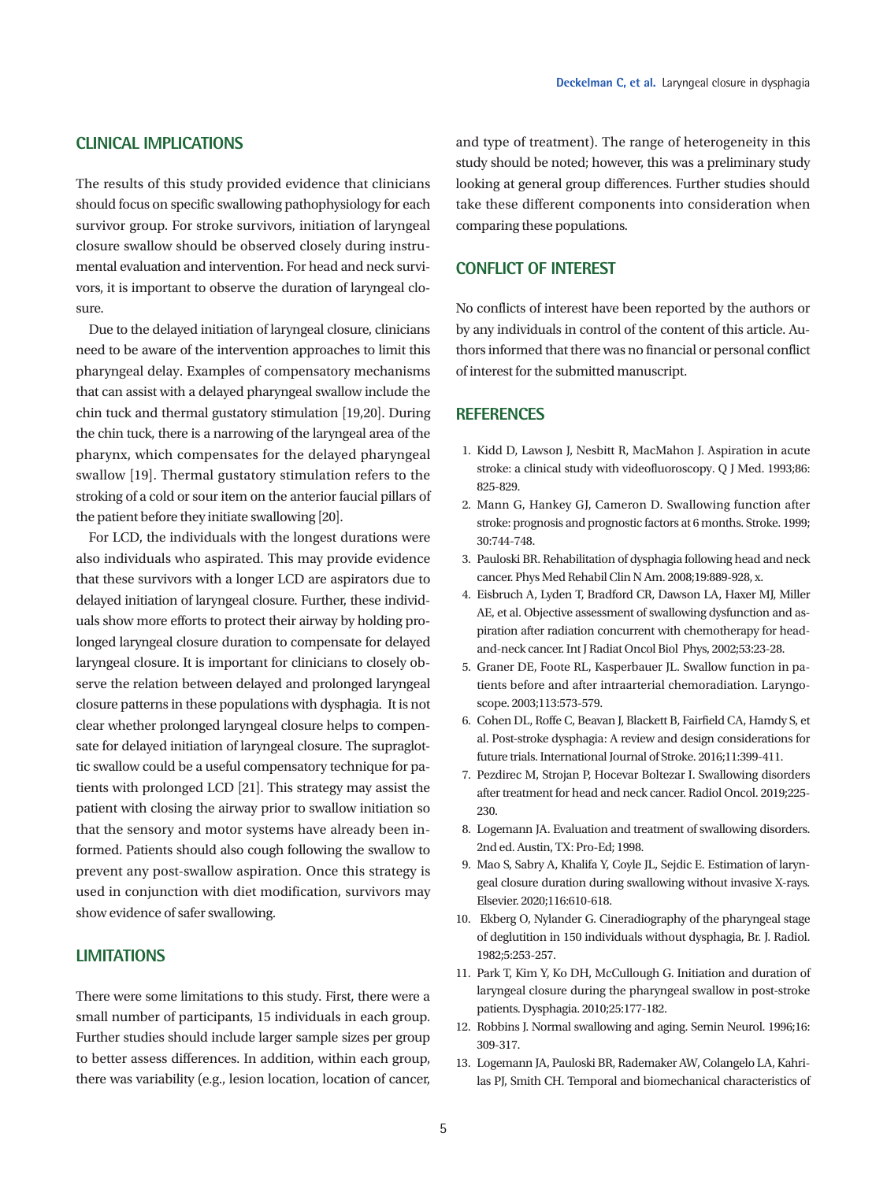## **CLINICAL IMPLICATIONS**

The results of this study provided evidence that clinicians should focus on specific swallowing pathophysiology for each survivor group. For stroke survivors, initiation of laryngeal closure swallow should be observed closely during instrumental evaluation and intervention. For head and neck survivors, it is important to observe the duration of laryngeal closure.

Due to the delayed initiation of laryngeal closure, clinicians need to be aware of the intervention approaches to limit this pharyngeal delay. Examples of compensatory mechanisms that can assist with a delayed pharyngeal swallow include the chin tuck and thermal gustatory stimulation [19,20]. During the chin tuck, there is a narrowing of the laryngeal area of the pharynx, which compensates for the delayed pharyngeal swallow [19]. Thermal gustatory stimulation refers to the stroking of a cold or sour item on the anterior faucial pillars of the patient before they initiate swallowing [20].

For LCD, the individuals with the longest durations were also individuals who aspirated. This may provide evidence that these survivors with a longer LCD are aspirators due to delayed initiation of laryngeal closure. Further, these individuals show more efforts to protect their airway by holding prolonged laryngeal closure duration to compensate for delayed laryngeal closure. It is important for clinicians to closely observe the relation between delayed and prolonged laryngeal closure patterns in these populations with dysphagia. It is not clear whether prolonged laryngeal closure helps to compensate for delayed initiation of laryngeal closure. The supraglottic swallow could be a useful compensatory technique for patients with prolonged LCD [21]. This strategy may assist the patient with closing the airway prior to swallow initiation so that the sensory and motor systems have already been informed. Patients should also cough following the swallow to prevent any post-swallow aspiration. Once this strategy is used in conjunction with diet modification, survivors may show evidence of safer swallowing.

## **LIMITATIONS**

There were some limitations to this study. First, there were a small number of participants, 15 individuals in each group. Further studies should include larger sample sizes per group to better assess differences. In addition, within each group, there was variability (e.g., lesion location, location of cancer, and type of treatment). The range of heterogeneity in this study should be noted; however, this was a preliminary study looking at general group differences. Further studies should take these different components into consideration when comparing these populations.

# **CONFLICT OF INTEREST**

No conflicts of interest have been reported by the authors or by any individuals in control of the content of this article. Authors informed that there was no financial or personal conflict of interest for the submitted manuscript.

#### **REFERENCES**

- 1. Kidd D, Lawson J, Nesbitt R, MacMahon J. Aspiration in acute stroke: a clinical study with videofluoroscopy. Q J Med. 1993;86: 825-829.
- 2. Mann G, Hankey GJ, Cameron D. Swallowing function after stroke: prognosis and prognostic factors at 6 months. Stroke. 1999; 30:744‐748.
- 3. Pauloski BR. Rehabilitation of dysphagia following head and neck cancer. Phys Med Rehabil Clin N Am. 2008;19:889-928, x.
- 4. Eisbruch A, Lyden T, Bradford CR, Dawson LA, Haxer MJ, Miller AE, et al. Objective assessment of swallowing dysfunction and aspiration after radiation concurrent with chemotherapy for headand-neck cancer. Int J Radiat Oncol Biol Phys, 2002;53:23-28.
- 5. Graner DE, Foote RL, Kasperbauer JL. Swallow function in patients before and after intraarterial chemoradiation. Laryngoscope. 2003;113:573-579.
- 6. Cohen DL, Roffe C, Beavan J, Blackett B, Fairfield CA, Hamdy S, et al. Post-stroke dysphagia: A review and design considerations for future trials. International Journal of Stroke. 2016;11:399-411.
- 7. Pezdirec M, Strojan P, Hocevar Boltezar I. Swallowing disorders after treatment for head and neck cancer. Radiol Oncol. 2019;225- 230.
- 8. Logemann JA. Evaluation and treatment of swallowing disorders. 2nd ed. Austin, TX: Pro-Ed; 1998.
- 9. Mao S, Sabry A, Khalifa Y, Coyle JL, Sejdic E. Estimation of laryngeal closure duration during swallowing without invasive X-rays. Elsevier. 2020;116:610-618.
- 10. Ekberg O, Nylander G. Cineradiography of the pharyngeal stage of deglutition in 150 individuals without dysphagia, Br. J. Radiol. 1982;5:253-257.
- 11. Park T, Kim Y, Ko DH, McCullough G. Initiation and duration of laryngeal closure during the pharyngeal swallow in post-stroke patients. Dysphagia. 2010;25:177-182.
- 12. Robbins J. Normal swallowing and aging. Semin Neurol. 1996;16: 309-317.
- 13. Logemann JA, Pauloski BR, Rademaker AW, Colangelo LA, Kahrilas PJ, Smith CH. Temporal and biomechanical characteristics of